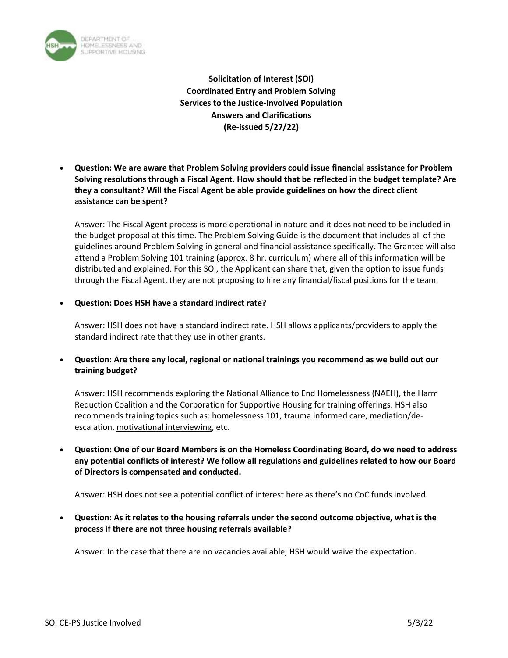

**Solicitation of Interest (SOI) Coordinated Entry and Problem Solving Services to the Justice-Involved Population Answers and Clarifications (Re-issued 5/27/22)**

• **Question: We are aware that Problem Solving providers could issue financial assistance for Problem Solving resolutions through a Fiscal Agent. How should that be reflected in the budget template? Are they a consultant? Will the Fiscal Agent be able provide guidelines on how the direct client assistance can be spent?** 

Answer: The Fiscal Agent process is more operational in nature and it does not need to be included in the budget proposal at this time. The Problem Solving Guide is the document that includes all of the guidelines around Problem Solving in general and financial assistance specifically. The Grantee will also attend a Problem Solving 101 training (approx. 8 hr. curriculum) where all of this information will be distributed and explained. For this SOI, the Applicant can share that, given the option to issue funds through the Fiscal Agent, they are not proposing to hire any financial/fiscal positions for the team.

## • **Question: Does HSH have a standard indirect rate?**

Answer: HSH does not have a standard indirect rate. HSH allows applicants/providers to apply the standard indirect rate that they use in other grants.

• **Question: Are there any local, regional or national trainings you recommend as we build out our training budget?** 

Answer: HSH recommends exploring the National Alliance to End Homelessness (NAEH), the Harm Reduction Coalition and the Corporation for Supportive Housing for training offerings. HSH also recommends training topics such as: homelessness 101, trauma informed care, mediation/deescalation, motivational interviewing, etc.

• **Question: One of our Board Members is on the Homeless Coordinating Board, do we need to address any potential conflicts of interest? We follow all regulations and guidelines related to how our Board of Directors is compensated and conducted.** 

Answer: HSH does not see a potential conflict of interest here as there's no CoC funds involved.

• **Question: As it relates to the housing referrals under the second outcome objective, what is the process if there are not three housing referrals available?** 

Answer: In the case that there are no vacancies available, HSH would waive the expectation.